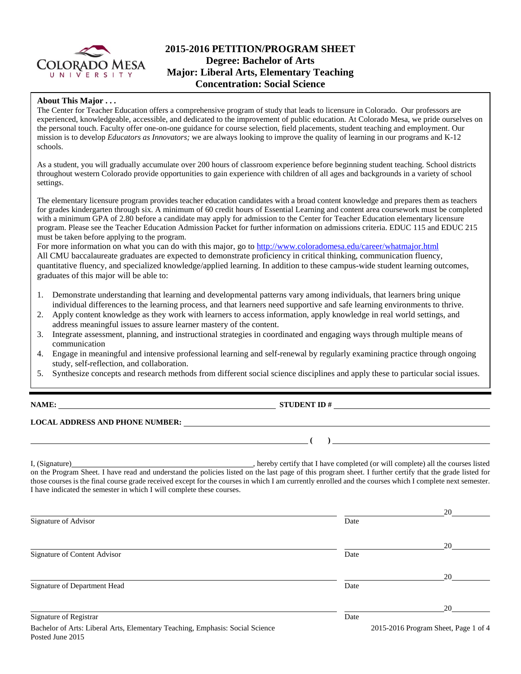

# **2015-2016 PETITION/PROGRAM SHEET Degree: Bachelor of Arts Major: Liberal Arts, Elementary Teaching Concentration: Social Science**

### **About This Major . . .**

**www** The Center for Teacher Education offers a comprehensive program of study that leads to licensure in Colorado. Our professors are experienced, knowledgeable, accessible, and dedicated to the improvement of public education. At Colorado Mesa, we pride ourselves on the personal touch. Faculty offer one-on-one guidance for course selection, field placements, student teaching and employment. Our mission is to develop *Educators as Innovators;* we are always looking to improve the quality of learning in our programs and K-12 schools.

As a student, you will gradually accumulate over 200 hours of classroom experience before beginning student teaching. School districts throughout western Colorado provide opportunities to gain experience with children of all ages and backgrounds in a variety of school settings.

The elementary licensure program provides teacher education candidates with a broad content knowledge and prepares them as teachers for grades kindergarten through six. A minimum of 60 credit hours of Essential Learning and content area coursework must be completed with a minimum GPA of 2.80 before a candidate may apply for admission to the Center for Teacher Education elementary licensure program. Please see the Teacher Education Admission Packet for further information on admissions criteria. EDUC 115 and EDUC 215 must be taken before applying to the program.

For more information on what you can do with this major, go to<http://www.coloradomesa.edu/career/whatmajor.html> All CMU baccalaureate graduates are expected to demonstrate proficiency in critical thinking, communication fluency, quantitative fluency, and specialized knowledge/applied learning. In addition to these campus-wide student learning outcomes, graduates of this major will be able to:

- 1. Demonstrate understanding that learning and developmental patterns vary among individuals, that learners bring unique individual differences to the learning process, and that learners need supportive and safe learning environments to thrive.
- 2. Apply content knowledge as they work with learners to access information, apply knowledge in real world settings, and address meaningful issues to assure learner mastery of the content.
- 3. Integrate assessment, planning, and instructional strategies in coordinated and engaging ways through multiple means of communication
- 4. Engage in meaningful and intensive professional learning and self-renewal by regularly examining practice through ongoing study, self-reflection, and collaboration.
- 5. Synthesize concepts and research methods from different social science disciplines and apply these to particular social issues.

**NAME: STUDENT ID #**

**( )** 

## **LOCAL ADDRESS AND PHONE NUMBER:**

I, (Signature) , hereby certify that I have completed (or will complete) all the courses listed on the Program Sheet. I have read and understand the policies listed on the last page of this program sheet. I further certify that the grade listed for those courses is the final course grade received except for the courses in which I am currently enrolled and the courses which I complete next semester. I have indicated the semester in which I will complete these courses.

|                                                                                                   |      | 20                                   |
|---------------------------------------------------------------------------------------------------|------|--------------------------------------|
| Signature of Advisor                                                                              | Date |                                      |
|                                                                                                   |      | 20                                   |
| Signature of Content Advisor                                                                      | Date |                                      |
|                                                                                                   |      | 20                                   |
| Signature of Department Head                                                                      | Date |                                      |
|                                                                                                   |      | 20                                   |
| Signature of Registrar                                                                            | Date |                                      |
| Bachelor of Arts: Liberal Arts, Elementary Teaching, Emphasis: Social Science<br>Posted June 2015 |      | 2015-2016 Program Sheet, Page 1 of 4 |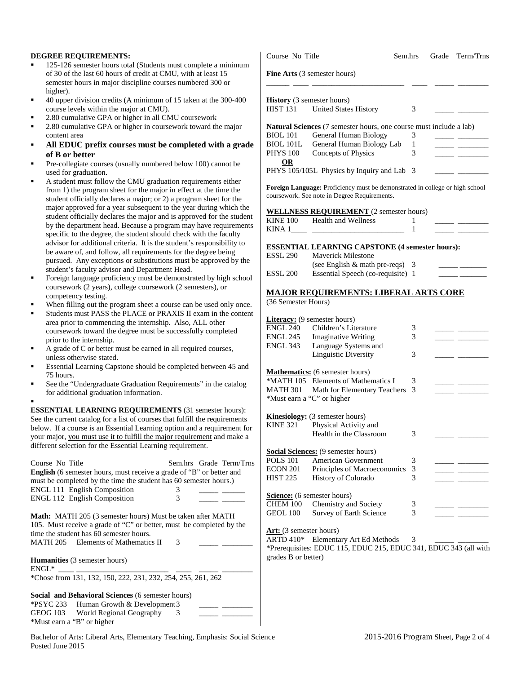#### **DEGREE REQUIREMENTS:**

- 125-126 semester hours total (Students must complete a minimum of 30 of the last 60 hours of credit at CMU, with at least 15 semester hours in major discipline courses numbered 300 or higher).
- 40 upper division credits (A minimum of 15 taken at the 300-400 course levels within the major at CMU).
- 2.80 cumulative GPA or higher in all CMU coursework
- 2.80 cumulative GPA or higher in coursework toward the major content area
- **All EDUC prefix courses must be completed with a grade of B or better**
- Pre-collegiate courses (usually numbered below 100) cannot be used for graduation.
- A student must follow the CMU graduation requirements either from 1) the program sheet for the major in effect at the time the student officially declares a major; or 2) a program sheet for the major approved for a year subsequent to the year during which the student officially declares the major and is approved for the student by the department head. Because a program may have requirement specific to the degree, the student should check with the faculty advisor for additional criteria. It is the student's responsibility to be aware of, and follow, all requirements for the degree being pursued. Any exceptions or substitutions must be approved by the student's faculty advisor and Department Head.
- Foreign language proficiency must be demonstrated by high school coursework (2 years), college coursework (2 semesters), or competency testing.
- When filling out the program sheet a course can be used only once.
- Students must PASS the PLACE or PRAXIS II exam in the content area prior to commencing the internship. Also, ALL other coursework toward the degree must be successfully completed prior to the internship.
- A grade of C or better must be earned in all required courses, unless otherwise stated.
- Essential Learning Capstone should be completed between 45 and 75 hours.
- See the "Undergraduate Graduation Requirements" in the catalog for additional graduation information.

. **ESSENTIAL LEARNING REQUIREMENTS** (31 semester hours): See the current catalog for a list of courses that fulfill the requirements below. If a course is an Essential Learning option and a requirement for your major, you must use it to fulfill the major requirement and make a different selection for the Essential Learning requirement.

| Course No Title<br><b>English</b> (6 semester hours, must receive a grade of "B" or better and<br>must be completed by the time the student has 60 semester hours.)                                                                                                 |   | Sem.hrs Grade Term/Trns |
|---------------------------------------------------------------------------------------------------------------------------------------------------------------------------------------------------------------------------------------------------------------------|---|-------------------------|
| <b>ENGL 111 English Composition</b>                                                                                                                                                                                                                                 | 3 |                         |
| <b>ENGL 112 English Composition</b>                                                                                                                                                                                                                                 | 3 |                         |
| <b>Math:</b> MATH 205 (3 semester hours) Must be taken after MATH<br>105. Must receive a grade of "C" or better, must be completed by the<br>time the student has 60 semester hours.<br>MATH 205 Elements of Mathematics II<br><b>Humanities</b> (3 semester hours) | 3 |                         |
| $ENGL^*$                                                                                                                                                                                                                                                            |   |                         |
| *Chose from 131, 132, 150, 222, 231, 232, 254, 255, 261, 262                                                                                                                                                                                                        |   |                         |
| Social and Behavioral Sciences (6 semester hours)                                                                                                                                                                                                                   |   |                         |
| <b>*PSYC 233</b> Human Growth & Development 3                                                                                                                                                                                                                       |   |                         |

| <i>*PSYC</i> 233 Human Growth $\&$ Development 3 |  |  |
|--------------------------------------------------|--|--|
| GEOG 103 World Regional Geography                |  |  |
| *Must earn a "B" or higher                       |  |  |

|                                                                   | Course No Title                                                                                                              | Sem.hrs | Grade | Term/Trns |
|-------------------------------------------------------------------|------------------------------------------------------------------------------------------------------------------------------|---------|-------|-----------|
|                                                                   | Fine Arts (3 semester hours)                                                                                                 |         |       |           |
| <b>History</b> (3 semester hours)                                 |                                                                                                                              |         |       |           |
| <b>HIST 131</b>                                                   | <b>United States History</b>                                                                                                 | 3       |       |           |
|                                                                   | <b>Natural Sciences</b> (7 semester hours, one course must include a lab)                                                    |         |       |           |
| <b>BIOL</b> 101                                                   | General Human Biology                                                                                                        | 3       |       |           |
| BIOL 101L                                                         | General Human Biology Lab                                                                                                    | 1       |       |           |
| <b>PHYS 100</b>                                                   | Concepts of Physics                                                                                                          | 3       |       |           |
| <b>OR</b>                                                         | PHYS 105/105L Physics by Inquiry and Lab 3                                                                                   |         |       |           |
|                                                                   | Foreign Language: Proficiency must be demonstrated in college or high school<br>coursework. See note in Degree Requirements. |         |       |           |
|                                                                   | <b>WELLNESS REQUIREMENT</b> (2 semester hours)                                                                               |         |       |           |
| <b>KINE 100</b>                                                   | Health and Wellness                                                                                                          | 1       |       |           |
| KINA 1                                                            |                                                                                                                              | 1       |       |           |
|                                                                   | <b>ESSENTIAL LEARNING CAPSTONE (4 semester hours):</b>                                                                       |         |       |           |
| <b>ESSL 290</b>                                                   | <b>Maverick Milestone</b>                                                                                                    |         |       |           |
|                                                                   | (see English & math pre-reqs) 3                                                                                              |         |       |           |
| ESSL 200                                                          | Essential Speech (co-requisite) 1                                                                                            |         |       |           |
|                                                                   | <b>MAJOR REQUIREMENTS: LIBERAL ARTS CORE</b>                                                                                 |         |       |           |
| (36 Semester Hours)                                               |                                                                                                                              |         |       |           |
|                                                                   | Literacy: (9 semester hours)                                                                                                 |         |       |           |
| ENGL 240                                                          | Children's Literature                                                                                                        | 3       |       |           |
| ENGL 245                                                          | <b>Imaginative Writing</b>                                                                                                   | 3       |       |           |
| ENGL 343                                                          | Language Systems and                                                                                                         |         |       |           |
|                                                                   | <b>Linguistic Diversity</b>                                                                                                  | 3       |       |           |
|                                                                   | <b>Mathematics:</b> (6 semester hours)                                                                                       |         |       |           |
|                                                                   | *MATH 105 Elements of Mathematics I                                                                                          | 3       |       |           |
| <b>MATH 301</b>                                                   | Math for Elementary Teachers                                                                                                 | 3       |       |           |
|                                                                   | *Must earn a "C" or higher                                                                                                   |         |       |           |
|                                                                   | <b>Kinesiology:</b> (3 semester hours)                                                                                       |         |       |           |
| <b>KINE 321</b>                                                   | Physical Activity and                                                                                                        |         |       |           |
|                                                                   | Health in the Classroom                                                                                                      | 3       |       |           |
|                                                                   | <b>Social Sciences:</b> (9 semester hours)                                                                                   |         |       |           |
| <b>POLS 101</b>                                                   | American Government                                                                                                          | 3       |       |           |
| <b>ECON 201</b>                                                   | Principles of Macroeconomics                                                                                                 | 3       |       |           |
| <b>HIST 225</b>                                                   | History of Colorado                                                                                                          | 3       |       |           |
|                                                                   |                                                                                                                              |         |       |           |
|                                                                   |                                                                                                                              |         |       |           |
|                                                                   | Chemistry and Society                                                                                                        | 3       |       |           |
| Science: (6 semester hours)<br><b>CHEM 100</b><br><b>GEOL 100</b> | Survey of Earth Science                                                                                                      | 3       |       |           |
|                                                                   |                                                                                                                              |         |       |           |
| <b>Art:</b> (3 semester hours)<br><b>ARTD 410*</b>                | Elementary Art Ed Methods<br>*Prerequisites: EDUC 115, EDUC 215, EDUC 341, EDUC 343 (all with                                | 3       |       |           |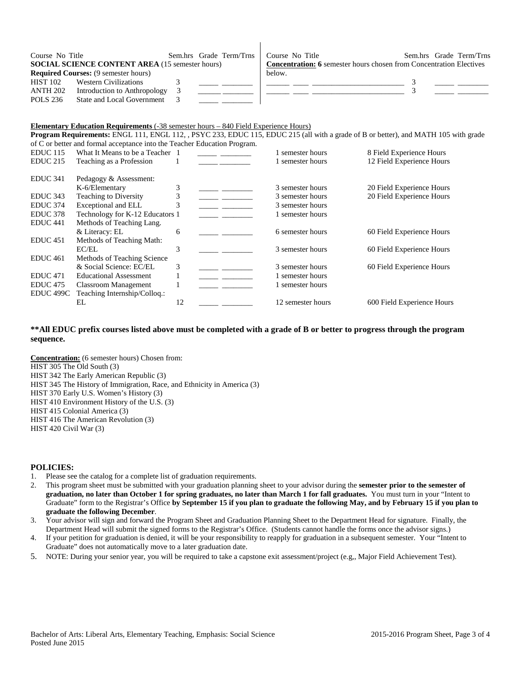| Course No Title                                        | Sem.hrs Grade Term/Trns | Course No Title                                                            |  | Sem.hrs Grade Term/Trns |
|--------------------------------------------------------|-------------------------|----------------------------------------------------------------------------|--|-------------------------|
| <b>SOCIAL SCIENCE CONTENT AREA (15 semester hours)</b> |                         | <b>Concentration: 6</b> semester hours chosen from Concentration Electives |  |                         |
| <b>Required Courses:</b> (9 semester hours)            |                         | below.                                                                     |  |                         |
| <b>HIST 102</b><br>Western Civilizations               |                         |                                                                            |  |                         |
| Introduction to Anthropology<br>ANTH 202               |                         |                                                                            |  |                         |
| POLS 236<br>State and Local Government                 |                         |                                                                            |  |                         |

 $\mathbf{I}$ 

#### **Elementary Education Requirements** (-38 semester hours – 840 Field Experience Hours)

**Program Requirements:** ENGL 111, ENGL 112, , PSYC 233, EDUC 115, EDUC 215 (all with a grade of B or better), and MATH 105 with grade of C or better and formal acceptance into the Teacher Education Program.

| <b>EDUC</b> 115     | What It Means to be a Teacher 1 |    | 1 semester hours  | 8 Field Experience Hours   |
|---------------------|---------------------------------|----|-------------------|----------------------------|
| <b>EDUC 215</b>     | Teaching as a Profession        |    | 1 semester hours  | 12 Field Experience Hours  |
| EDUC 341            | Pedagogy & Assessment:          |    |                   |                            |
|                     | K-6/Elementary                  | 3  | 3 semester hours  | 20 Field Experience Hours  |
| EDUC 343            | Teaching to Diversity           | 3  | 3 semester hours  | 20 Field Experience Hours  |
| EDUC 374            | Exceptional and ELL             | 3  | 3 semester hours  |                            |
| EDUC <sub>378</sub> | Technology for K-12 Educators 1 |    | 1 semester hours  |                            |
| EDUC <sub>441</sub> | Methods of Teaching Lang.       |    |                   |                            |
|                     | & Literacy: EL                  | 6  | 6 semester hours  | 60 Field Experience Hours  |
| EDUC <sub>451</sub> | Methods of Teaching Math:       |    |                   |                            |
|                     | EC/EL                           | 3  | 3 semester hours  | 60 Field Experience Hours  |
| <b>EDUC</b> 461     | Methods of Teaching Science     |    |                   |                            |
|                     | & Social Science: EC/EL         | 3  | 3 semester hours  | 60 Field Experience Hours  |
| <b>EDUC</b> 471     | <b>Educational Assessment</b>   |    | 1 semester hours  |                            |
| EDUC <sub>475</sub> | <b>Classroom Management</b>     |    | 1 semester hours  |                            |
| EDUC 499C           | Teaching Internship/Colloq.:    |    |                   |                            |
|                     | EL                              | 12 | 12 semester hours | 600 Field Experience Hours |

#### **\*\*All EDUC prefix courses listed above must be completed with a grade of B or better to progress through the program sequence.**

**Concentration:** (6 semester hours) Chosen from: HIST 305 The Old South (3) HIST 342 The Early American Republic (3) HIST 345 The History of Immigration, Race, and Ethnicity in America (3) HIST 370 Early U.S. Women's History (3) HIST 410 Environment History of the U.S. (3) HIST 415 Colonial America (3) HIST 416 The American Revolution (3) HIST 420 Civil War (3)

#### **POLICIES:**

- 1. Please see the catalog for a complete list of graduation requirements.
- 2. This program sheet must be submitted with your graduation planning sheet to your advisor during the **semester prior to the semester of graduation, no later than October 1 for spring graduates, no later than March 1 for fall graduates.** You must turn in your "Intent to Graduate" form to the Registrar's Office **by September 15 if you plan to graduate the following May, and by February 15 if you plan to graduate the following December**.
- 3. Your advisor will sign and forward the Program Sheet and Graduation Planning Sheet to the Department Head for signature. Finally, the Department Head will submit the signed forms to the Registrar's Office. (Students cannot handle the forms once the advisor signs.)
- 4. If your petition for graduation is denied, it will be your responsibility to reapply for graduation in a subsequent semester. Your "Intent to Graduate" does not automatically move to a later graduation date.
- 5. NOTE: During your senior year, you will be required to take a capstone exit assessment/project (e.g,, Major Field Achievement Test).